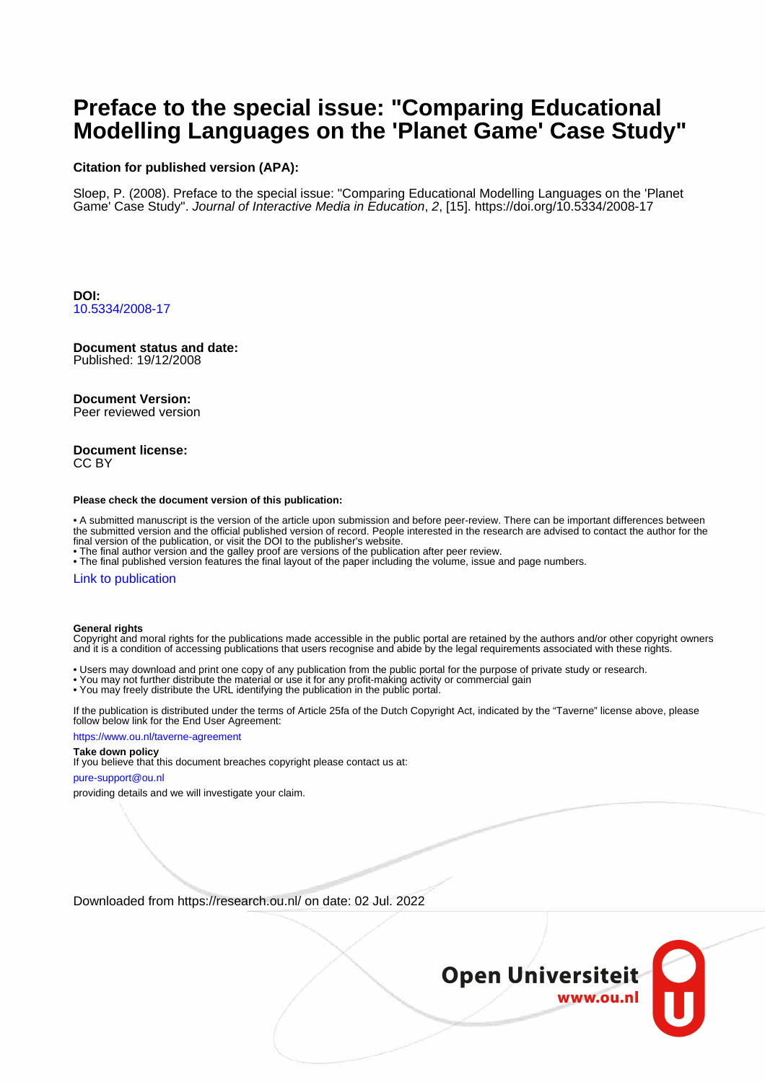# **Preface to the special issue: "Comparing Educational Modelling Languages on the 'Planet Game' Case Study"**

### **Citation for published version (APA):**

Sloep, P. (2008). Preface to the special issue: "Comparing Educational Modelling Languages on the 'Planet Game' Case Study". Journal of Interactive Media in Education, 2, [15].<https://doi.org/10.5334/2008-17>

**DOI:** [10.5334/2008-17](https://doi.org/10.5334/2008-17)

## **Document status and date:**

Published: 19/12/2008

### **Document Version:**

Peer reviewed version

#### **Document license:** CC BY

#### **Please check the document version of this publication:**

• A submitted manuscript is the version of the article upon submission and before peer-review. There can be important differences between the submitted version and the official published version of record. People interested in the research are advised to contact the author for the final version of the publication, or visit the DOI to the publisher's website.

• The final author version and the galley proof are versions of the publication after peer review.

• The final published version features the final layout of the paper including the volume, issue and page numbers.

#### [Link to publication](https://research.ou.nl/en/publications/11f7f544-8597-47f7-b625-6301cbd97b97)

#### **General rights**

Copyright and moral rights for the publications made accessible in the public portal are retained by the authors and/or other copyright owners and it is a condition of accessing publications that users recognise and abide by the legal requirements associated with these rights.

- Users may download and print one copy of any publication from the public portal for the purpose of private study or research.
- You may not further distribute the material or use it for any profit-making activity or commercial gain
- You may freely distribute the URL identifying the publication in the public portal.

If the publication is distributed under the terms of Article 25fa of the Dutch Copyright Act, indicated by the "Taverne" license above, please follow below link for the End User Agreement:

#### https://www.ou.nl/taverne-agreement

## **Take down policy**

If you believe that this document breaches copyright please contact us at:

#### pure-support@ou.nl

providing details and we will investigate your claim.

Downloaded from https://research.ou.nl/ on date: 02 Jul. 2022

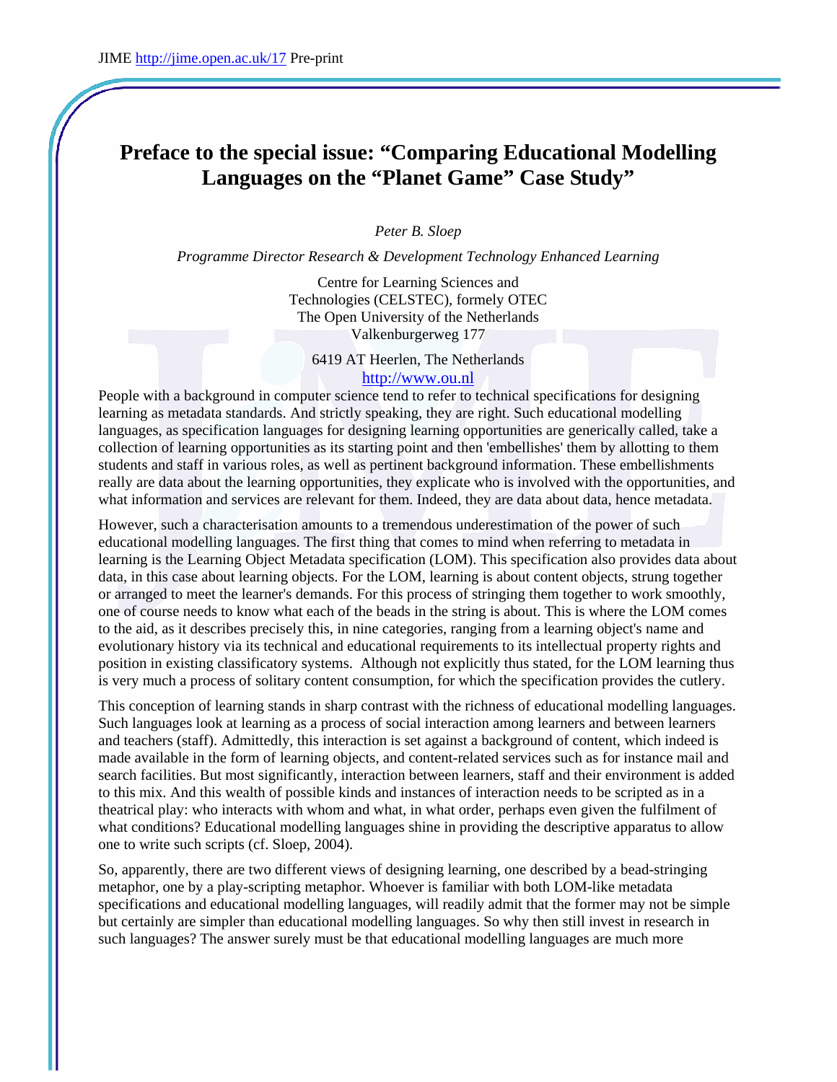## **Preface to the special issue: "Comparing Educational Modelling Languages on the "Planet Game" Case Study"**

*Peter B. Sloep* 

*Programme Director Research & Development Technology Enhanced Learning* 

Centre for Learning Sciences and Technologies (CELSTEC), formely OTEC The Open University of the Netherlands Valkenburgerweg 177

6419 AT Heerlen, The Netherlands [http://www.ou.nl](http://www.ou.nl/)

People with a background in computer science tend to refer to technical specifications for designing learning as metadata standards. And strictly speaking, they are right. Such educational modelling languages, as specification languages for designing learning opportunities are generically called, take a collection of learning opportunities as its starting point and then 'embellishes' them by allotting to them students and staff in various roles, as well as pertinent background information. These embellishments really are data about the learning opportunities, they explicate who is involved with the opportunities, and what information and services are relevant for them. Indeed, they are data about data, hence metadata.

However, such a characterisation amounts to a tremendous underestimation of the power of such educational modelling languages. The first thing that comes to mind when referring to metadata in learning is the Learning Object Metadata specification (LOM). This specification also provides data about data, in this case about learning objects. For the LOM, learning is about content objects, strung together or arranged to meet the learner's demands. For this process of stringing them together to work smoothly, one of course needs to know what each of the beads in the string is about. This is where the LOM comes to the aid, as it describes precisely this, in nine categories, ranging from a learning object's name and evolutionary history via its technical and educational requirements to its intellectual property rights and position in existing classificatory systems. Although not explicitly thus stated, for the LOM learning thus is very much a process of solitary content consumption, for which the specification provides the cutlery.

This conception of learning stands in sharp contrast with the richness of educational modelling languages. Such languages look at learning as a process of social interaction among learners and between learners and teachers (staff). Admittedly, this interaction is set against a background of content, which indeed is made available in the form of learning objects, and content-related services such as for instance mail and search facilities. But most significantly, interaction between learners, staff and their environment is added to this mix. And this wealth of possible kinds and instances of interaction needs to be scripted as in a theatrical play: who interacts with whom and what, in what order, perhaps even given the fulfilment of what conditions? Educational modelling languages shine in providing the descriptive apparatus to allow one to write such scripts (cf. Sloep, 2004).

So, apparently, there are two different views of designing learning, one described by a bead-stringing metaphor, one by a play-scripting metaphor. Whoever is familiar with both LOM-like metadata specifications and educational modelling languages, will readily admit that the former may not be simple but certainly are simpler than educational modelling languages. So why then still invest in research in such languages? The answer surely must be that educational modelling languages are much more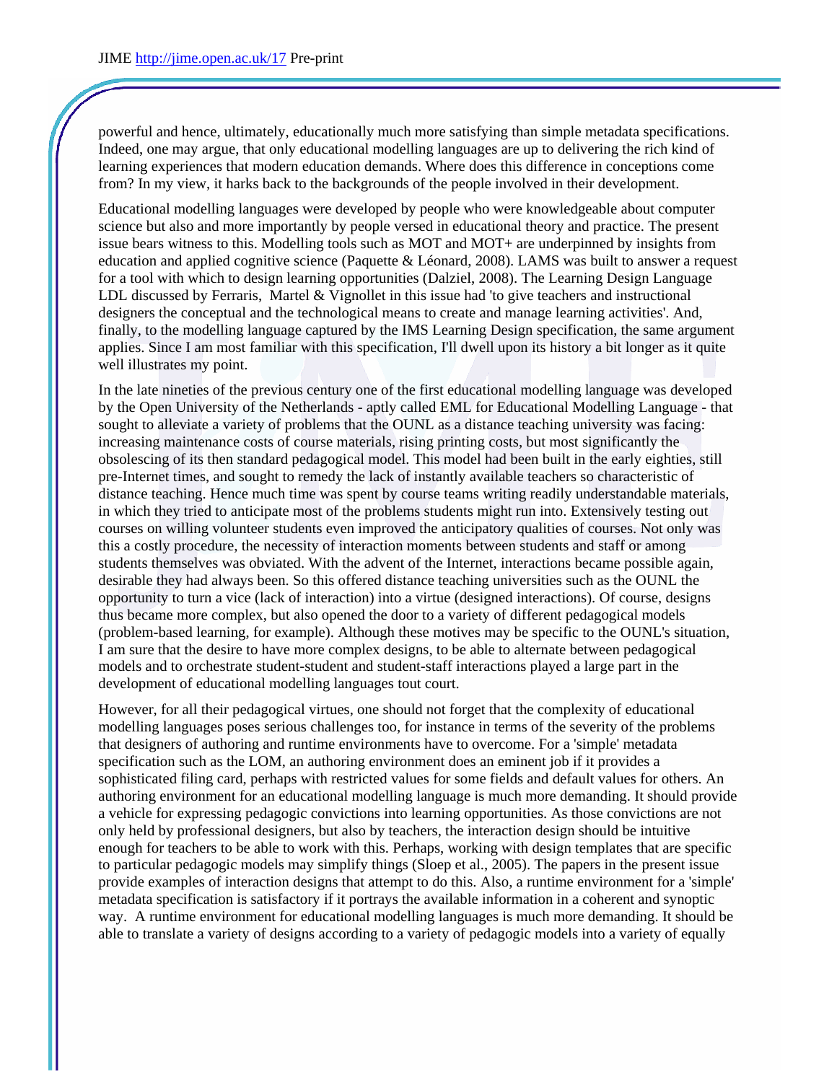powerful and hence, ultimately, educationally much more satisfying than simple metadata specifications. Indeed, one may argue, that only educational modelling languages are up to delivering the rich kind of learning experiences that modern education demands. Where does this difference in conceptions come from? In my view, it harks back to the backgrounds of the people involved in their development.

Educational modelling languages were developed by people who were knowledgeable about computer science but also and more importantly by people versed in educational theory and practice. The present issue bears witness to this. Modelling tools such as MOT and MOT+ are underpinned by insights from education and applied cognitive science (Paquette & Léonard, 2008). LAMS was built to answer a request for a tool with which to design learning opportunities (Dalziel, 2008). The Learning Design Language LDL discussed by Ferraris, Martel & Vignollet in this issue had 'to give teachers and instructional designers the conceptual and the technological means to create and manage learning activities'. And, finally, to the modelling language captured by the IMS Learning Design specification, the same argument applies. Since I am most familiar with this specification, I'll dwell upon its history a bit longer as it quite well illustrates my point.

In the late nineties of the previous century one of the first educational modelling language was developed by the Open University of the Netherlands - aptly called EML for Educational Modelling Language - that sought to alleviate a variety of problems that the OUNL as a distance teaching university was facing: increasing maintenance costs of course materials, rising printing costs, but most significantly the obsolescing of its then standard pedagogical model. This model had been built in the early eighties, still pre-Internet times, and sought to remedy the lack of instantly available teachers so characteristic of distance teaching. Hence much time was spent by course teams writing readily understandable materials, in which they tried to anticipate most of the problems students might run into. Extensively testing out courses on willing volunteer students even improved the anticipatory qualities of courses. Not only was this a costly procedure, the necessity of interaction moments between students and staff or among students themselves was obviated. With the advent of the Internet, interactions became possible again, desirable they had always been. So this offered distance teaching universities such as the OUNL the opportunity to turn a vice (lack of interaction) into a virtue (designed interactions). Of course, designs thus became more complex, but also opened the door to a variety of different pedagogical models (problem-based learning, for example). Although these motives may be specific to the OUNL's situation, I am sure that the desire to have more complex designs, to be able to alternate between pedagogical models and to orchestrate student-student and student-staff interactions played a large part in the development of educational modelling languages tout court.

However, for all their pedagogical virtues, one should not forget that the complexity of educational modelling languages poses serious challenges too, for instance in terms of the severity of the problems that designers of authoring and runtime environments have to overcome. For a 'simple' metadata specification such as the LOM, an authoring environment does an eminent job if it provides a sophisticated filing card, perhaps with restricted values for some fields and default values for others. An authoring environment for an educational modelling language is much more demanding. It should provide a vehicle for expressing pedagogic convictions into learning opportunities. As those convictions are not only held by professional designers, but also by teachers, the interaction design should be intuitive enough for teachers to be able to work with this. Perhaps, working with design templates that are specific to particular pedagogic models may simplify things (Sloep et al., 2005). The papers in the present issue provide examples of interaction designs that attempt to do this. Also, a runtime environment for a 'simple' metadata specification is satisfactory if it portrays the available information in a coherent and synoptic way. A runtime environment for educational modelling languages is much more demanding. It should be able to translate a variety of designs according to a variety of pedagogic models into a variety of equally